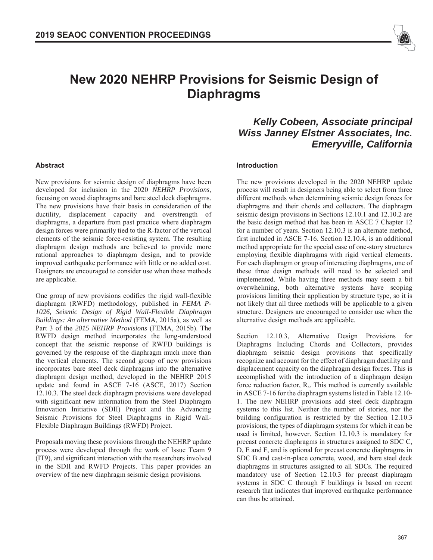

# **New 2020 NEHRP Provisions for Seismic Design of Diaphragms**

# *Kelly Cobeen, Associate principal Wiss Janney Elstner Associates, Inc. Emeryville, California*

## **Abstract**

New provisions for seismic design of diaphragms have been developed for inclusion in the 2020 *NEHRP Provisions*, focusing on wood diaphragms and bare steel deck diaphragms. The new provisions have their basis in consideration of the ductility, displacement capacity and overstrength of diaphragms, a departure from past practice where diaphragm design forces were primarily tied to the R-factor of the vertical elements of the seismic force-resisting system. The resulting diaphragm design methods are believed to provide more rational approaches to diaphragm design, and to provide improved earthquake performance with little or no added cost. Designers are encouraged to consider use when these methods are applicable.

One group of new provisions codifies the rigid wall-flexible diaphragm (RWFD) methodology, published in *FEMA P-1026, Seismic Design of Rigid Wall-Flexible Diaphragm Buildings: An alternative Method* (FEMA, 2015a), as well as Part 3 of the *2015 NEHRP Provisions* (FEMA, 2015b). The RWFD design method incorporates the long-understood concept that the seismic response of RWFD buildings is governed by the response of the diaphragm much more than the vertical elements. The second group of new provisions incorporates bare steel deck diaphragms into the alternative diaphragm design method, developed in the NEHRP 2015 update and found in ASCE 7-16 (ASCE, 2017) Section 12.10.3. The steel deck diaphragm provisions were developed with significant new information from the Steel Diaphragm Innovation Initiative (SDII) Project and the Advancing Seismic Provisions for Steel Diaphragms in Rigid Wall-Flexible Diaphragm Buildings (RWFD) Project.

Proposals moving these provisions through the NEHRP update process were developed through the work of Issue Team 9 (IT9), and significant interaction with the researchers involved in the SDII and RWFD Projects. This paper provides an overview of the new diaphragm seismic design provisions.

## **Introduction**

The new provisions developed in the 2020 NEHRP update process will result in designers being able to select from three different methods when determining seismic design forces for diaphragms and their chords and collectors. The diaphragm seismic design provisions in Sections 12.10.1 and 12.10.2 are the basic design method that has been in ASCE 7 Chapter 12 for a number of years. Section 12.10.3 is an alternate method, first included in ASCE 7-16. Section 12.10.4, is an additional method appropriate for the special case of one-story structures employing flexible diaphragms with rigid vertical elements. For each diaphragm or group of interacting diaphragms, one of these three design methods will need to be selected and implemented. While having three methods may seem a bit overwhelming, both alternative systems have scoping provisions limiting their application by structure type, so it is not likely that all three methods will be applicable to a given structure. Designers are encouraged to consider use when the alternative design methods are applicable.

Section 12.10.3, Alternative Design Provisions for Diaphragms Including Chords and Collectors, provides diaphragm seismic design provisions that specifically recognize and account for the effect of diaphragm ductility and displacement capacity on the diaphragm design forces. This is accomplished with the introduction of a diaphragm design force reduction factor,  $R_s$ . This method is currently available in ASCE 7-16 for the diaphragm systems listed in Table 12.10- 1. The new NEHRP provisions add steel deck diaphragm systems to this list. Neither the number of stories, nor the building configuration is restricted by the Section 12.10.3 provisions; the types of diaphragm systems for which it can be used is limited, however. Section 12.10.3 is mandatory for precast concrete diaphragms in structures assigned to SDC C, D, E and F, and is optional for precast concrete diaphragms in SDC B and cast-in-place concrete, wood, and bare steel deck diaphragms in structures assigned to all SDCs. The required mandatory use of Section 12.10.3 for precast diaphragm systems in SDC C through F buildings is based on recent research that indicates that improved earthquake performance can thus be attained.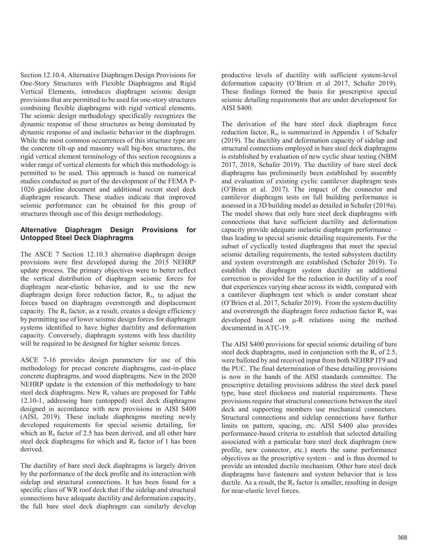Section 12.10.4, Alternative Diaphragm Design Provisions for One-Story Structures with Flexible Diaphragms and Rigid Vertical Elements, introduces diaphragm seismic design provisions that are permitted to be used for one-story structures combining flexible diaphragms with rigid vertical elements. The seismic design methodology specifically recognizes the dynamic response of these structures as being dominated by dynamic response of and inelastic behavior in the diaphragm. While the most common occurrences of this structure type are the concrete tilt-up and masonry wall big-box structures, the rigid vertical element terminology of this section recognizes a wider range of vertical elements for which this methodology is permitted to be used. This approach is based on numerical studies conducted as part of the development of the FEMA P-1026 guideline document and additional recent steel deck diaphragm research. These studies indicate that improved seismic performance can be obtained for this group of structures through use of this design methodology.

# **Alternative Diaphragm Design Provisions for Untopped Steel Deck Diaphragms**

The ASCE 7 Section 12.10.3 alternative diaphragm design provisions were first developed during the 2015 NEHRP update process. The primary objectives were to better reflect the vertical distribution of diaphragm seismic forces for diaphragm near-elastic behavior, and to use the new diaphragm design force reduction factor, Rs, to adjust the forces based on diaphragm overstrength and displacement capacity. The R<sub>s</sub> factor, as a result, creates a design efficiency by permitting use of lower seismic design forces for diaphragm systems identified to have higher ductility and deformation capacity. Conversely, diaphragm systems with less ductility will be required to be designed for higher seismic forces.

ASCE 7-16 provides design parameters for use of this methodology for precast concrete diaphragms, cast-in-place concrete diaphragms, and wood diaphragms. New in the 2020 NEHRP update is the extension of this methodology to bare steel deck diaphragms. New  $R_s$  values are proposed for Table 12.10-1, addressing bare (untopped) steel deck diaphragms designed in accordance with new provisions in AISI S400 (AISI, 2019). These include diaphragms meeting newly developed requirements for special seismic detailing, for which an R<sub>s</sub> factor of 2.5 has been derived, and all other bare steel deck diaphragms for which and  $R_s$  factor of 1 has been derived.

The ductility of bare steel deck diaphragms is largely driven by the performance of the deck profile and its interaction with sidelap and structural connections. It has been found for a specific class of WR roof deck that if the sidelap and structural connections have adequate ductility and deformation capacity, the full bare steel deck diaphragm can similarly develop

productive levels of ductility with sufficient system-level deformation capacity (O'Brien et al 2017, Schafer 2019). These findings formed the basis for prescriptive special seismic detailing requirements that are under development for AISI S400.

The derivation of the bare steel deck diaphragm force reduction factor, Rs, is summarized in Appendix 1 of Schafer (2019). The ductility and deformation capacity of sidelap and structural connections employed in bare steel deck diaphragms is established by evaluation of new cyclic shear testing (NBM 2017, 2018, Schafer 2019). The ductility of bare steel deck diaphragms has preliminarily been established by assembly and evaluation of existing cyclic cantilever diaphragm tests (O'Brien et al. 2017). The impact of the connector and cantilever diaphragm tests on full building performance is assessed in a 3D building model as detailed in Schafer (2019a). The model shows that only bare steel deck diaphragms with connections that have sufficient ductility and deformation capacity provide adequate inelastic diaphragm performance – thus leading to special seismic detailing requirements. For the subset of cyclically tested diaphragms that meet the special seismic detailing requirements, the tested subsystem ductility and system overstrength are established (Schafer 2019). To establish the diaphragm system ductility an additional correction is provided for the reduction in ductility of a roof that experiences varying shear across its width, compared with a cantilever diaphragm test which is under constant shear (O'Brien et al. 2017, Schafer 2019). From the system ductility and overstrength the diaphragm force reduction factor  $R_s$  was developed based on  $\mu$ -R relations using the method documented in ATC-19.

The AISI S400 provisions for special seismic detailing of bare steel deck diaphragms, used in conjunction with the  $R_s$  of 2.5, were balloted by and received input from both NEHRP IT9 and the PUC. The final determination of these detailing provisions is now in the hands of the AISI standards committee. The prescriptive detailing provisions address the steel deck panel type, base steel thickness and material requirements. These provisions require that structural connections between the steel deck and supporting members use mechanical connectors. Structural connections and sidelap connections have further limits on pattern, spacing, etc. AISI S400 also provides performance-based criteria to establish that selected detailing associated with a particular bare steel deck diaphragm (new profile, new connector, etc.) meets the same performance objectives as the prescriptive system – and is thus deemed to provide an intended ductile mechanism. Other bare steel deck diaphragms have fasteners and system behavior that is less ductile. As a result, the  $R_s$  factor is smaller, resulting in design for near-elastic level forces.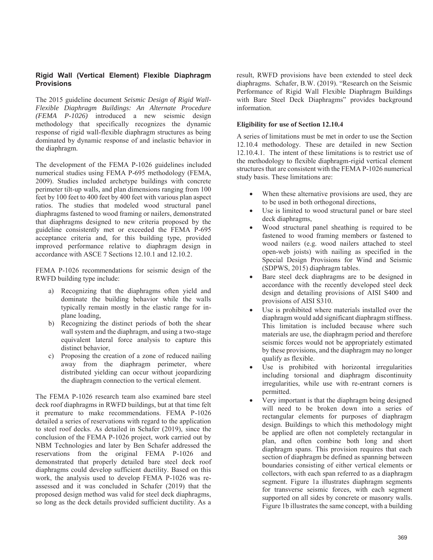# **Rigid Wall (Vertical Element) Flexible Diaphragm Provisions**

The 2015 guideline document *Seismic Design of Rigid Wall-Flexible Diaphragm Buildings: An Alternate Procedure (FEMA P-1026)* introduced a new seismic design methodology that specifically recognizes the dynamic response of rigid wall-flexible diaphragm structures as being dominated by dynamic response of and inelastic behavior in the diaphragm.

The development of the FEMA P-1026 guidelines included numerical studies using FEMA P-695 methodology (FEMA, 2009). Studies included archetype buildings with concrete perimeter tilt-up walls, and plan dimensions ranging from 100 feet by 100 feet to 400 feet by 400 feet with various plan aspect ratios. The studies that modeled wood structural panel diaphragms fastened to wood framing or nailers, demonstrated that diaphragms designed to new criteria proposed by the guideline consistently met or exceeded the FEMA P-695 acceptance criteria and, for this building type, provided improved performance relative to diaphragm design in accordance with ASCE 7 Sections 12.10.1 and 12.10.2.

FEMA P-1026 recommendations for seismic design of the RWFD building type include:

- a) Recognizing that the diaphragms often yield and dominate the building behavior while the walls typically remain mostly in the elastic range for inplane loading,
- b) Recognizing the distinct periods of both the shear wall system and the diaphragm, and using a two-stage equivalent lateral force analysis to capture this distinct behavior,
- c) Proposing the creation of a zone of reduced nailing away from the diaphragm perimeter, where distributed yielding can occur without jeopardizing the diaphragm connection to the vertical element.

The FEMA P-1026 research team also examined bare steel deck roof diaphragms in RWFD buildings, but at that time felt it premature to make recommendations. FEMA P-1026 detailed a series of reservations with regard to the application to steel roof decks. As detailed in Schafer (2019), since the conclusion of the FEMA P-1026 project, work carried out by NBM Technologies and later by Ben Schafer addressed the reservations from the original FEMA P-1026 and demonstrated that properly detailed bare steel deck roof diaphragms could develop sufficient ductility. Based on this work, the analysis used to develop FEMA P-1026 was reassessed and it was concluded in Schafer (2019) that the proposed design method was valid for steel deck diaphragms, so long as the deck details provided sufficient ductility. As a

result, RWFD provisions have been extended to steel deck diaphragms. Schafer, B.W. (2019). "Research on the Seismic Performance of Rigid Wall Flexible Diaphragm Buildings with Bare Steel Deck Diaphragms" provides background information.

## **Eligibility for use of Section 12.10.4**

A series of limitations must be met in order to use the Section 12.10.4 methodology. These are detailed in new Section 12.10.4.1. The intent of these limitations is to restrict use of the methodology to flexible diaphragm-rigid vertical element structures that are consistent with the FEMA P-1026 numerical study basis. These limitations are:

- When these alternative provisions are used, they are to be used in both orthogonal directions,
- Use is limited to wood structural panel or bare steel deck diaphragms,
- Wood structural panel sheathing is required to be fastened to wood framing members or fastened to wood nailers (e.g. wood nailers attached to steel open-web joists) with nailing as specified in the Special Design Provisions for Wind and Seismic (SDPWS, 2015) diaphragm tables.
- Bare steel deck diaphragms are to be designed in accordance with the recently developed steel deck design and detailing provisions of AISI S400 and provisions of AISI S310.
- Use is prohibited where materials installed over the diaphragm would add significant diaphragm stiffness. This limitation is included because where such materials are use, the diaphragm period and therefore seismic forces would not be appropriately estimated by these provisions, and the diaphragm may no longer qualify as flexible.
- Use is prohibited with horizontal irregularities including torsional and diaphragm discontinuity irregularities, while use with re-entrant corners is permitted.
- Very important is that the diaphragm being designed will need to be broken down into a series of rectangular elements for purposes of diaphragm design. Buildings to which this methodology might be applied are often not completely rectangular in plan, and often combine both long and short diaphragm spans. This provision requires that each section of diaphragm be defined as spanning between boundaries consisting of either vertical elements or collectors, with each span referred to as a diaphragm segment. Figure 1a illustrates diaphragm segments for transverse seismic forces, with each segment supported on all sides by concrete or masonry walls. Figure 1b illustrates the same concept, with a building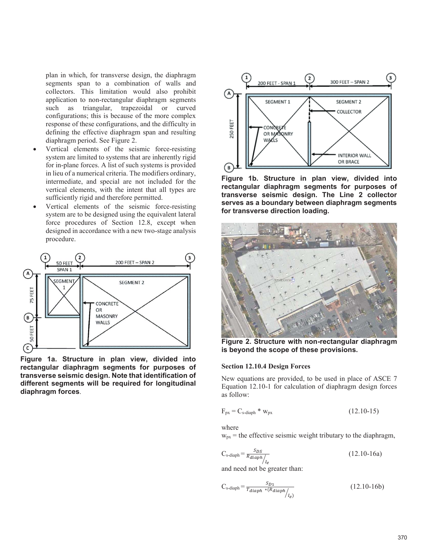plan in which, for transverse design, the diaphragm segments span to a combination of walls and collectors. This limitation would also prohibit application to non-rectangular diaphragm segments such as triangular, trapezoidal or curved configurations; this is because of the more complex response of these configurations, and the difficulty in defining the effective diaphragm span and resulting diaphragm period. See Figure 2.

- x Vertical elements of the seismic force-resisting system are limited to systems that are inherently rigid for in-plane forces. A list of such systems is provided in lieu of a numerical criteria. The modifiers ordinary, intermediate, and special are not included for the vertical elements, with the intent that all types are sufficiently rigid and therefore permitted.
- x Vertical elements of the seismic force-resisting system are to be designed using the equivalent lateral force procedures of Section 12.8, except when designed in accordance with a new two-stage analysis procedure.



**Figure 1a. Structure in plan view, divided into rectangular diaphragm segments for purposes of transverse seismic design. Note that identification of different segments will be required for longitudinal diaphragm forces**.



**Figure 1b. Structure in plan view, divided into rectangular diaphragm segments for purposes of transverse seismic design. The Line 2 collector serves as a boundary between diaphragm segments for transverse direction loading.** 



**Figure 2. Structure with non-rectangular diaphragm is beyond the scope of these provisions.** 

#### **Section 12.10.4 Design Forces**

New equations are provided, to be used in place of ASCE 7 Equation 12.10-1 for calculation of diaphragm design forces as follow:

$$
F_{px} = C_{s\text{-diaph}} * w_{px} \tag{12.10-15}
$$

where

 $w_{px}$  = the effective seismic weight tributary to the diaphragm,

$$
C_{\text{s-diaph}} = \frac{S_{DS}}{R_{diaph}} / \frac{1}{l_e}
$$
 (12.10-16a)

and need not be greater than:

$$
C_{\text{s-diaph}} = \frac{s_{D1}}{T_{diaph} * (R_{diaph}/I_e)}\tag{12.10-16b}
$$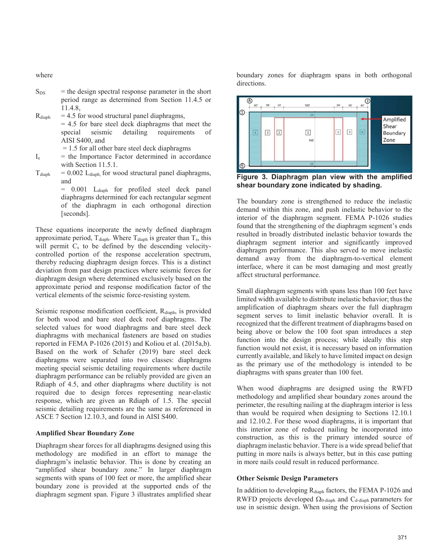where

- $S_{DS}$  = the design spectral response parameter in the short period range as determined from Section 11.4.5 or 11.4.8,
- $R_{diabh}$  = 4.5 for wood structural panel diaphragms,
- $= 4.5$  for bare steel deck diaphragms that meet the special seismic detailing requirements of AISI S400, and
	- $= 1.5$  for all other bare steel deck diaphragms
- $I<sub>e</sub>$  = the Importance Factor determined in accordance with Section 11.5.1.
- $T_{\text{diaph}}$  = 0.002 L<sub>diaph</sub>, for wood structural panel diaphragms, and
	- = 0.001 L<sub>diaph</sub> for profiled steel deck panel diaphragms determined for each rectangular segment of the diaphragm in each orthogonal direction [seconds].

These equations incorporate the newly defined diaphragm approximate period,  $T_{\text{dianh}}$ . Where  $T_{\text{dianh}}$  is greater than  $T_s$ , this will permit  $C_s$  to be defined by the descending velocitycontrolled portion of the response acceleration spectrum, thereby reducing diaphragm design forces. This is a distinct deviation from past design practices where seismic forces for diaphragm design where determined exclusively based on the approximate period and response modification factor of the vertical elements of the seismic force-resisting system.

Seismic response modification coefficient, R<sub>diaph</sub>, is provided for both wood and bare steel deck roof diaphragms. The selected values for wood diaphragms and bare steel deck diaphragms with mechanical fasteners are based on studies reported in FEMA P-1026 (2015) and Koliou et al. (2015a,b). Based on the work of Schafer (2019) bare steel deck diaphragms were separated into two classes: diaphragms meeting special seismic detailing requirements where ductile diaphragm performance can be reliably provided are given an Rdiaph of 4.5, and other diaphragms where ductility is not required due to design forces representing near-elastic response, which are given an Rdiaph of 1.5. The special seismic detailing requirements are the same as referenced in ASCE 7 Section 12.10.3, and found in AISI S400.

#### **Amplified Shear Boundary Zone**

Diaphragm shear forces for all diaphragms designed using this methodology are modified in an effort to manage the diaphragm's inelastic behavior. This is done by creating an "amplified shear boundary zone." In larger diaphragm segments with spans of 100 feet or more, the amplified shear boundary zone is provided at the supported ends of the diaphragm segment span. Figure 3 illustrates amplified shear boundary zones for diaphragm spans in both orthogonal directions.



**Figure 3. Diaphragm plan view with the amplified shear boundary zone indicated by shading.**

The boundary zone is strengthened to reduce the inelastic demand within this zone, and push inelastic behavior to the interior of the diaphragm segment. FEMA P-1026 studies found that the strengthening of the diaphragm segment's ends resulted in broadly distributed inelastic behavior towards the diaphragm segment interior and significantly improved diaphragm performance. This also served to move inelastic demand away from the diaphragm-to-vertical element interface, where it can be most damaging and most greatly affect structural performance.

Small diaphragm segments with spans less than 100 feet have limited width available to distribute inelastic behavior; thus the amplification of diaphragm shears over the full diaphragm segment serves to limit inelastic behavior overall. It is recognized that the different treatment of diaphragms based on being above or below the 100 foot span introduces a step function into the design process; while ideally this step function would not exist, it is necessary based on information currently available, and likely to have limited impact on design as the primary use of the methodology is intended to be diaphragms with spans greater than 100 feet.

When wood diaphragms are designed using the RWFD methodology and amplified shear boundary zones around the perimeter, the resulting nailing at the diaphragm interior is less than would be required when designing to Sections 12.10.1 and 12.10.2. For these wood diaphragms, it is important that this interior zone of reduced nailing be incorporated into construction, as this is the primary intended source of diaphragm inelastic behavior. There is a wide spread belief that putting in more nails is always better, but in this case putting in more nails could result in reduced performance.

#### **Other Seismic Design Parameters**

In addition to developing R<sub>diaph</sub> factors, the FEMA P-1026 and RWFD projects developed  $\Omega_{0\text{-diaph}}$  and  $C_{\text{d-diaph}}$  parameters for use in seismic design. When using the provisions of Section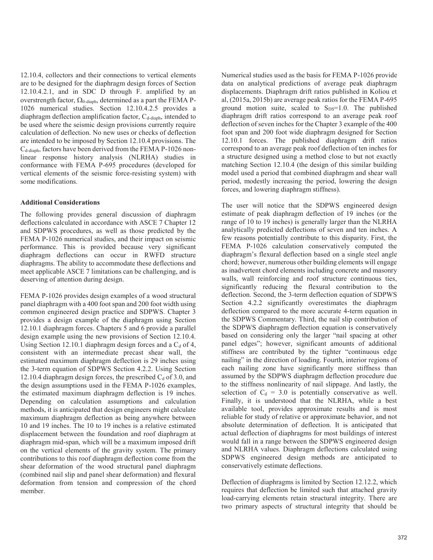12.10.4, collectors and their connections to vertical elements are to be designed for the diaphragm design forces of Section 12.10.4.2.1, and in SDC D through F. amplified by an overstrength factor,  $\Omega_{0\text{-diaph}}$ , determined as a part the FEMA P-1026 numerical studies. Section 12.10.4.2.5 provides a diaphragm deflection amplification factor, C<sub>d-diaph</sub>, intended to be used where the seismic design provisions currently require calculation of deflection. No new uses or checks of deflection are intended to be imposed by Section 12.10.4 provisions. The C<sub>d-diaph</sub>, factors have been derived from the FEMA P-1026 nonlinear response history analysis (NLRHA) studies in conformance with FEMA P-695 procedures (developed for vertical elements of the seismic force-resisting system) with some modifications.

## **Additional Considerations**

The following provides general discussion of diaphragm deflections calculated in accordance with ASCE 7 Chapter 12 and SDPWS procedures, as well as those predicted by the FEMA P-1026 numerical studies, and their impact on seismic performance. This is provided because very significant diaphragm deflections can occur in RWFD structure diaphragms. The ability to accommodate these deflections and meet applicable ASCE 7 limitations can be challenging, and is deserving of attention during design.

FEMA P-1026 provides design examples of a wood structural panel diaphragm with a 400 foot span and 200 foot width using common engineered design practice and SDPWS. Chapter 3 provides a design example of the diaphragm using Section 12.10.1 diaphragm forces. Chapters 5 and 6 provide a parallel design example using the new provisions of Section 12.10.4. Using Section 12.10.1 diaphragm design forces and a  $C_d$  of 4, consistent with an intermediate precast shear wall, the estimated maximum diaphragm deflection is 29 inches using the 3-term equation of SDPWS Section 4.2.2. Using Section 12.10.4 diaphragm design forces, the prescribed  $C_d$  of 3.0, and the design assumptions used in the FEMA P-1026 examples, the estimated maximum diaphragm deflection is 19 inches. Depending on calculation assumptions and calculation methods, it is anticipated that design engineers might calculate maximum diaphragm deflection as being anywhere between 10 and 19 inches. The 10 to 19 inches is a relative estimated displacement between the foundation and roof diaphragm at diaphragm mid-span, which will be a maximum imposed drift on the vertical elements of the gravity system. The primary contributions to this roof diaphragm deflection come from the shear deformation of the wood structural panel diaphragm (combined nail slip and panel shear deformation) and flexural deformation from tension and compression of the chord member.

Numerical studies used as the basis for FEMA P-1026 provide data on analytical predictions of average peak diaphragm displacements. Diaphragm drift ratios published in Koliou et al, (2015a, 2015b) are average peak ratios for the FEMA P-695 ground motion suite, scaled to  $S_{DS}=1.0$ . The published diaphragm drift ratios correspond to an average peak roof deflection of seven inches for the Chapter 3 example of the 400 foot span and 200 foot wide diaphragm designed for Section 12.10.1 forces. The published diaphragm drift ratios correspond to an average peak roof deflection of ten inches for a structure designed using a method close to but not exactly matching Section 12.10.4 (the design of this similar building model used a period that combined diaphragm and shear wall period, modestly increasing the period, lowering the design forces, and lowering diaphragm stiffness).

The user will notice that the SDPWS engineered design estimate of peak diaphragm deflection of 19 inches (or the range of 10 to 19 inches) is generally larger than the NLRHA analytically predicted deflections of seven and ten inches. A few reasons potentially contribute to this disparity. First, the FEMA P-1026 calculation conservatively computed the diaphragm's flexural deflection based on a single steel angle chord; however, numerous other building elements will engage as inadvertent chord elements including concrete and masonry walls, wall reinforcing and roof structure continuous ties, significantly reducing the flexural contribution to the deflection. Second, the 3-term deflection equation of SDPWS Section 4.2.2 significantly overestimates the diaphragm deflection compared to the more accurate 4-term equation in the SDPWS Commentary. Third, the nail slip contribution of the SDPWS diaphragm deflection equation is conservatively based on considering only the larger "nail spacing at other panel edges"; however, significant amounts of additional stiffness are contributed by the tighter "continuous edge nailing" in the direction of loading. Fourth, interior regions of each nailing zone have significantly more stiffness than assumed by the SDPWS diaphragm deflection procedure due to the stiffness nonlinearity of nail slippage. And lastly, the selection of  $C_d = 3.0$  is potentially conservative as well. Finally, it is understood that the NLRHA, while a best available tool, provides approximate results and is most reliable for study of relative or approximate behavior, and not absolute determination of deflection. It is anticipated that actual deflection of diaphragms for most buildings of interest would fall in a range between the SDPWS engineered design and NLRHA values. Diaphragm deflections calculated using SDPWS engineered design methods are anticipated to conservatively estimate deflections.

Deflection of diaphragms is limited by Section 12.12.2, which requires that deflection be limited such that attached gravity load-carrying elements retain structural integrity. There are two primary aspects of structural integrity that should be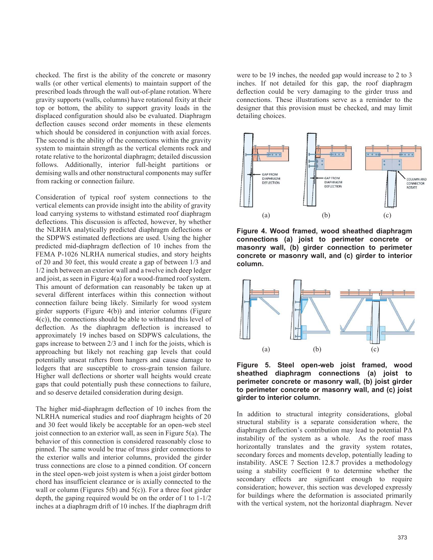checked. The first is the ability of the concrete or masonry walls (or other vertical elements) to maintain support of the prescribed loads through the wall out-of-plane rotation. Where gravity supports (walls, columns) have rotational fixity at their top or bottom, the ability to support gravity loads in the displaced configuration should also be evaluated. Diaphragm deflection causes second order moments in these elements which should be considered in conjunction with axial forces. The second is the ability of the connections within the gravity system to maintain strength as the vertical elements rock and rotate relative to the horizontal diaphragm; detailed discussion follows. Additionally, interior full-height partitions or demising walls and other nonstructural components may suffer from racking or connection failure.

Consideration of typical roof system connections to the vertical elements can provide insight into the ability of gravity load carrying systems to withstand estimated roof diaphragm deflections. This discussion is affected, however, by whether the NLRHA analytically predicted diaphragm deflections or the SDPWS estimated deflections are used. Using the higher predicted mid-diaphragm deflection of 10 inches from the FEMA P-1026 NLRHA numerical studies, and story heights of 20 and 30 feet, this would create a gap of between 1/3 and 1/2 inch between an exterior wall and a twelve inch deep ledger and joist, as seen in Figure 4(a) for a wood-framed roof system. This amount of deformation can reasonably be taken up at several different interfaces within this connection without connection failure being likely. Similarly for wood system girder supports (Figure 4(b)) and interior columns (Figure 4(c)), the connections should be able to withstand this level of deflection. As the diaphragm deflection is increased to approximately 19 inches based on SDPWS calculations, the gaps increase to between 2/3 and 1 inch for the joists, which is approaching but likely not reaching gap levels that could potentially unseat rafters from hangers and cause damage to ledgers that are susceptible to cross-grain tension failure. Higher wall deflections or shorter wall heights would create gaps that could potentially push these connections to failure, and so deserve detailed consideration during design.

The higher mid-diaphragm deflection of 10 inches from the NLRHA numerical studies and roof diaphragm heights of 20 and 30 feet would likely be acceptable for an open-web steel joist connection to an exterior wall, as seen in Figure 5(a). The behavior of this connection is considered reasonably close to pinned. The same would be true of truss girder connections to the exterior walls and interior columns, provided the girder truss connections are close to a pinned condition. Of concern in the steel open-web joist system is when a joist girder bottom chord has insufficient clearance or is axially connected to the wall or column (Figures  $5(b)$  and  $5(c)$ ). For a three foot girder depth, the gaping required would be on the order of 1 to 1-1/2 inches at a diaphragm drift of 10 inches. If the diaphragm drift were to be 19 inches, the needed gap would increase to 2 to 3 inches. If not detailed for this gap, the roof diaphragm deflection could be very damaging to the girder truss and connections. These illustrations serve as a reminder to the designer that this provision must be checked, and may limit detailing choices.



**Figure 4. Wood framed, wood sheathed diaphragm connections (a) joist to perimeter concrete or masonry wall, (b) girder connection to perimeter concrete or masonry wall, and (c) girder to interior column.** 



**Figure 5. Steel open-web joist framed, wood sheathed diaphragm connections (a) joist to perimeter concrete or masonry wall, (b) joist girder to perimeter concrete or masonry wall, and (c) joist girder to interior column.** 

In addition to structural integrity considerations, global structural stability is a separate consideration where, the diaphragm deflection's contribution may lead to potential PΔ instability of the system as a whole. As the roof mass horizontally translates and the gravity system rotates, secondary forces and moments develop, potentially leading to instability. ASCE 7 Section 12.8.7 provides a methodology using a stability coefficient  $\theta$  to determine whether the secondary effects are significant enough to require consideration; however, this section was developed expressly for buildings where the deformation is associated primarily with the vertical system, not the horizontal diaphragm. Never